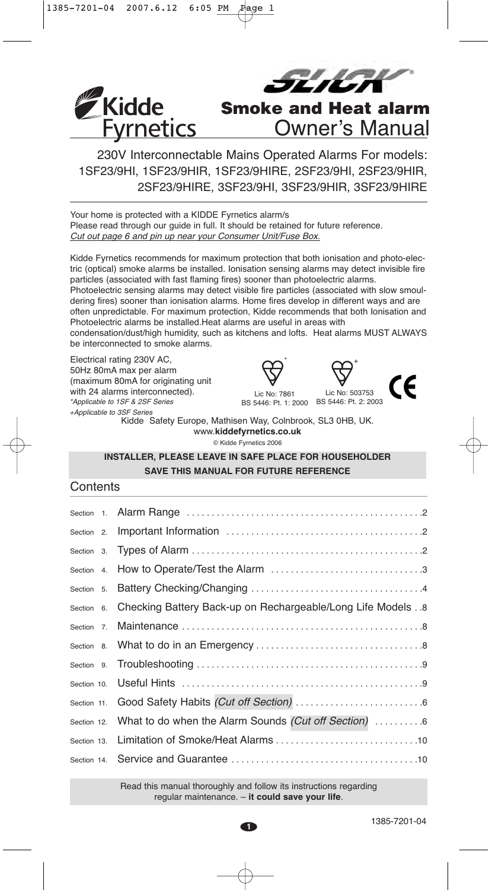

230V Interconnectable Mains Operated Alarms For models: 1SF23/9HI, 1SF23/9HIR, 1SF23/9HIRE, 2SF23/9HI, 2SF23/9HIR, 2SF23/9HIRE, 3SF23/9HI, 3SF23/9HIR, 3SF23/9HIRE

Your home is protected with a KIDDE Fyrnetics alarm/s Please read through our guide in full. It should be retained for future reference. Cut out page 6 and pin up near your Consumer Unit/Fuse Box.

Kidde Fyrnetics recommends for maximum protection that both ionisation and photo-electric (optical) smoke alarms be installed. Ionisation sensing alarms may detect invisible fire particles (associated with fast flaming fires) sooner than photoelectric alarms.

Photoelectric sensing alarms may detect visible fire particles (associated with slow smouldering fires) sooner than ionisation alarms. Home fires develop in different ways and are often unpredictable. For maximum protection, Kidde recommends that both Ionisation and Photoelectric alarms be installed.Heat alarms are useful in areas with

condensation/dust/high humidity, such as kitchens and lofts. Heat alarms MUST ALWAYS be interconnected to smoke alarms.

Electrical rating 230V AC, 50Hz 80mA max per alarm (maximum 80mA for originating unit with 24 alarms interconnected). \*Applicable to 1SF & 2SF Series +Applicable to 3SF Series

\*

Lic No: 7861 BS 5446: Pt. 1: 2000



Kidde Safety Europe, Mathisen Way, Colnbrook, SL3 0HB, UK. www.**kiddefyrnetics.co.uk**

© Kidde Fyrnetics 2006

### **INSTALLER, PLEASE LEAVE IN SAFE PLACE FOR HOUSEHOLDER SAVE THIS MANUAL FOR FUTURE REFERENCE**

### **Contents**

|             | Section 6. Checking Battery Back-up on Rechargeable/Long Life Models . 8 |
|-------------|--------------------------------------------------------------------------|
| Section 7.  |                                                                          |
|             |                                                                          |
|             |                                                                          |
|             |                                                                          |
|             |                                                                          |
|             | Section 12. What to do when the Alarm Sounds (Cut off Section) 6         |
| Section 13. |                                                                          |
|             |                                                                          |

Read this manual thoroughly and follow its instructions regarding regular maintenance. – **it could save your life**.

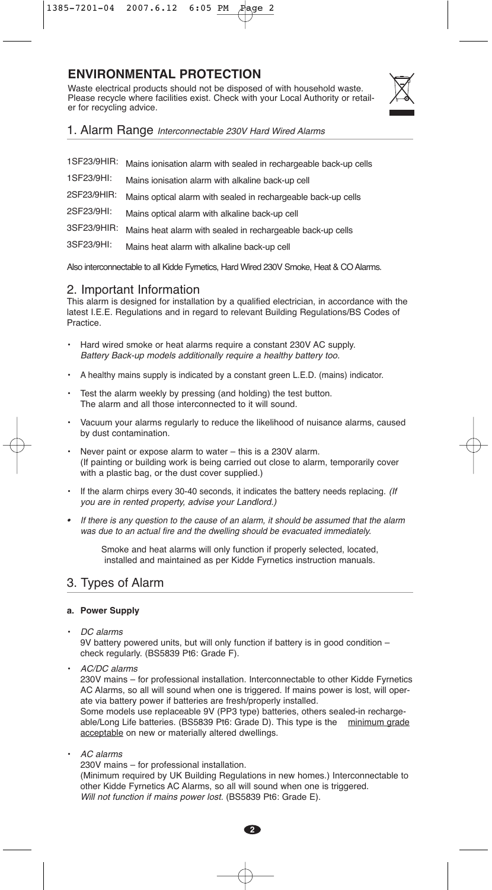### **ENVIRONMENTAL PROTECTION**

Waste electrical products should not be disposed of with household waste. Please recycle where facilities exist. Check with your Local Authority or retailer for recycling advice.



1. Alarm Range Interconnectable 230V Hard Wired Alarms

| 1SF23/9HIR: | Mains ionisation alarm with sealed in rechargeable back-up cells |
|-------------|------------------------------------------------------------------|
| 1SF23/9HI:  | Mains ionisation alarm with alkaline back-up cell                |
| 2SF23/9HIR: | Mains optical alarm with sealed in rechargeable back-up cells    |
| 2SF23/9HI:  | Mains optical alarm with alkaline back-up cell                   |
| 3SF23/9HIR: | Mains heat alarm with sealed in rechargeable back-up cells       |
| 3SF23/9HI:  | Mains heat alarm with alkaline back-up cell                      |

Also interconnectable to all Kidde Fyrnetics, Hard Wired 230V Smoke, Heat & CO Alarms.

### 2. Important Information

This alarm is designed for installation by a qualified electrician, in accordance with the latest I.E.E. Regulations and in regard to relevant Building Regulations/BS Codes of Practice.

- Hard wired smoke or heat alarms require a constant 230V AC supply. Battery Back-up models additionally require a healthy battery too.
- A healthy mains supply is indicated by a constant green L.E.D. (mains) indicator.
- Test the alarm weekly by pressing (and holding) the test button. The alarm and all those interconnected to it will sound.
- Vacuum your alarms regularly to reduce the likelihood of nuisance alarms, caused by dust contamination.
- Never paint or expose alarm to water this is a 230V alarm. (If painting or building work is being carried out close to alarm, temporarily cover with a plastic bag, or the dust cover supplied.)
- If the alarm chirps every 30-40 seconds, it indicates the battery needs replacing. (If you are in rented property, advise your Landlord.)
- If there is any question to the cause of an alarm, it should be assumed that the alarm was due to an actual fire and the dwelling should be evacuated immediately.

Smoke and heat alarms will only function if properly selected, located, installed and maintained as per Kidde Fyrnetics instruction manuals.

### 3. Types of Alarm

#### **a. Power Supply**

• DC alarms

9V battery powered units, but will only function if battery is in good condition – check regularly. (BS5839 Pt6: Grade F).

• AC/DC alarms

230V mains – for professional installation. Interconnectable to other Kidde Fyrnetics AC Alarms, so all will sound when one is triggered. If mains power is lost, will operate via battery power if batteries are fresh/properly installed. Some models use replaceable 9V (PP3 type) batteries, others sealed-in recharge-

able/Long Life batteries. (BS5839 Pt6: Grade D). This type is the minimum grade acceptable on new or materially altered dwellings.

• AC alarms

230V mains – for professional installation.

(Minimum required by UK Building Regulations in new homes.) Interconnectable to other Kidde Fyrnetics AC Alarms, so all will sound when one is triggered. Will not function if mains power lost. (BS5839 Pt6: Grade E).

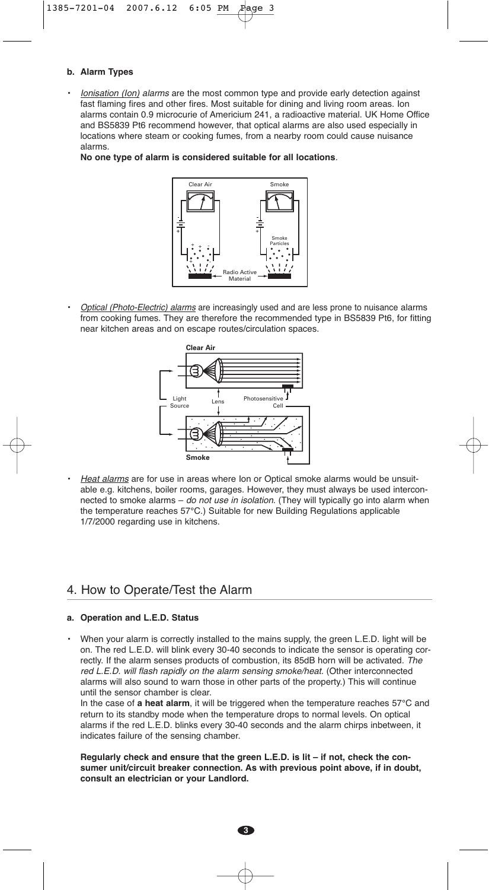#### **b. Alarm Types**

lonisation (lon) alarms are the most common type and provide early detection against fast flaming fires and other fires. Most suitable for dining and living room areas. Ion alarms contain 0.9 microcurie of Americium 241, a radioactive material. UK Home Office and BS5839 Pt6 recommend however, that optical alarms are also used especially in locations where steam or cooking fumes, from a nearby room could cause nuisance alarms.

**No one type of alarm is considered suitable for all locations**.



Optical (Photo-Electric) alarms are increasingly used and are less prone to nuisance alarms from cooking fumes. They are therefore the recommended type in BS5839 Pt6, for fitting near kitchen areas and on escape routes/circulation spaces.



Heat alarms are for use in areas where Ion or Optical smoke alarms would be unsuitable e.g. kitchens, boiler rooms, garages. However, they must always be used interconnected to smoke alarms - do not use in isolation. (They will typically go into alarm when the temperature reaches 57°C.) Suitable for new Building Regulations applicable 1/7/2000 regarding use in kitchens.

### 4. How to Operate/Test the Alarm

### **a. Operation and L.E.D. Status**

• When your alarm is correctly installed to the mains supply, the green L.E.D. light will be on. The red L.E.D. will blink every 30-40 seconds to indicate the sensor is operating correctly. If the alarm senses products of combustion, its 85dB horn will be activated. The red L.E.D. will flash rapidly on the alarm sensing smoke/heat. (Other interconnected alarms will also sound to warn those in other parts of the property.) This will continue until the sensor chamber is clear.

In the case of **a heat alarm**, it will be triggered when the temperature reaches 57°C and return to its standby mode when the temperature drops to normal levels. On optical alarms if the red L.E.D. blinks every 30-40 seconds and the alarm chirps inbetween, it indicates failure of the sensing chamber.

**Regularly check and ensure that the green L.E.D. is lit – if not, check the consumer unit/circuit breaker connection. As with previous point above, if in doubt, consult an electrician or your Landlord.**

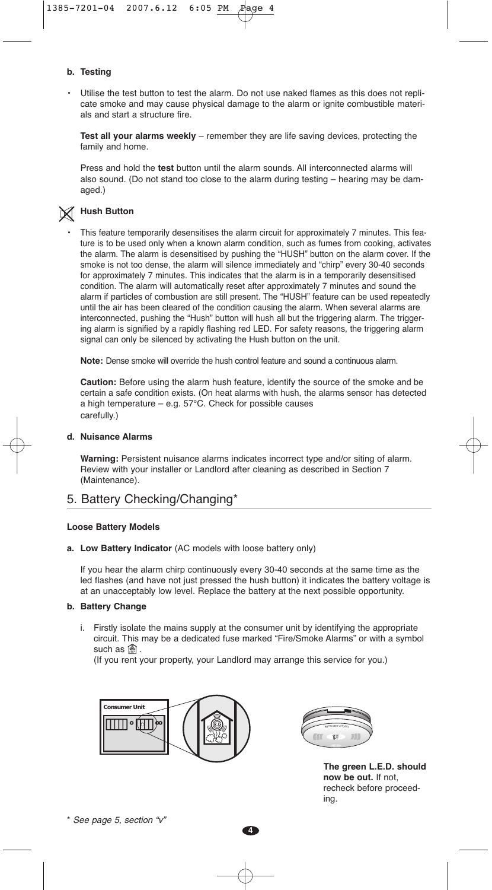### **b. Testing**

• Utilise the test button to test the alarm. Do not use naked flames as this does not replicate smoke and may cause physical damage to the alarm or ignite combustible materials and start a structure fire.

**Test all your alarms weekly** – remember they are life saving devices, protecting the family and home.

Press and hold the **test** button until the alarm sounds. All interconnected alarms will also sound. (Do not stand too close to the alarm during testing – hearing may be damaged.)



# **c. Hush Button**

This feature temporarily desensitises the alarm circuit for approximately 7 minutes. This feature is to be used only when a known alarm condition, such as fumes from cooking, activates the alarm. The alarm is desensitised by pushing the "HUSH" button on the alarm cover. If the smoke is not too dense, the alarm will silence immediately and "chirp" every 30-40 seconds for approximately 7 minutes. This indicates that the alarm is in a temporarily desensitised condition. The alarm will automatically reset after approximately 7 minutes and sound the alarm if particles of combustion are still present. The "HUSH" feature can be used repeatedly until the air has been cleared of the condition causing the alarm. When several alarms are interconnected, pushing the "Hush" button will hush all but the triggering alarm. The triggering alarm is signified by a rapidly flashing red LED. For safety reasons, the triggering alarm signal can only be silenced by activating the Hush button on the unit.

**Note:** Dense smoke will override the hush control feature and sound a continuous alarm.

**Caution:** Before using the alarm hush feature, identify the source of the smoke and be certain a safe condition exists. (On heat alarms with hush, the alarms sensor has detected a high temperature – e.g. 57°C. Check for possible causes carefully.)

#### **d. Nuisance Alarms**

**Warning:** Persistent nuisance alarms indicates incorrect type and/or siting of alarm. Review with your installer or Landlord after cleaning as described in Section 7 (Maintenance).

### 5. Battery Checking/Changing\*

#### **Loose Battery Models**

#### **a. Low Battery Indicator** (AC models with loose battery only)

If you hear the alarm chirp continuously every 30-40 seconds at the same time as the led flashes (and have not just pressed the hush button) it indicates the battery voltage is at an unacceptably low level. Replace the battery at the next possible opportunity.

#### **b. Battery Change**

i. Firstly isolate the mains supply at the consumer unit by identifying the appropriate circuit. This may be a dedicated fuse marked "Fire/Smoke Alarms" or with a symbol such as  $\mathbf{\hat{m}}$ .

**4**

(If you rent your property, your Landlord may arrange this service for you.)





**The green L.E.D. should now be out.** If not, recheck before proceeding.

\* See page 5, section "v"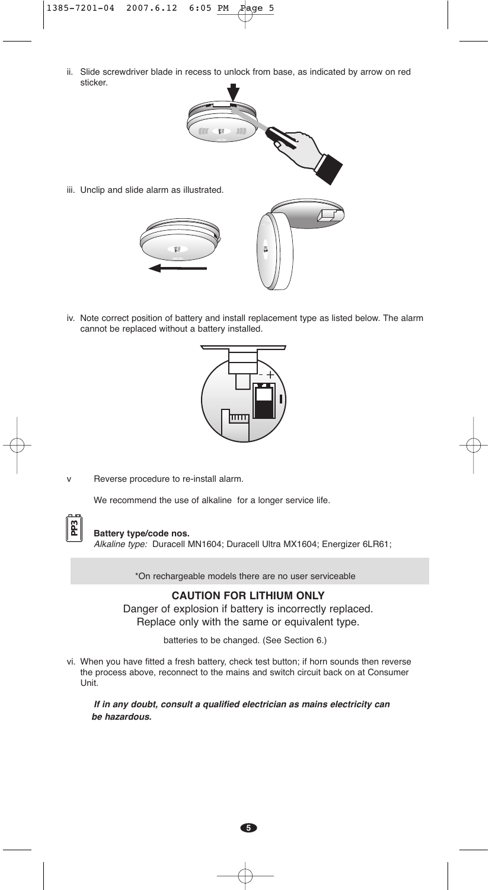ii. Slide screwdriver blade in recess to unlock from base, as indicated by arrow on red sticker.



iii. Unclip and slide alarm as illustrated.



iv. Note correct position of battery and install replacement type as listed below. The alarm cannot be replaced without a battery installed.



Reverse procedure to re-install alarm.

We recommend the use of alkaline for a longer service life.



#### **Battery type/code nos.**

Alkaline type: Duracell MN1604; Duracell Ultra MX1604; Energizer 6LR61;

\*On rechargeable models there are no user serviceable

### **CAUTION FOR LITHIUM ONLY**

Danger of explosion if battery is incorrectly replaced. Replace only with the same or equivalent type.

batteries to be changed. (See Section 6.)

vi. When you have fitted a fresh battery, check test button; if horn sounds then reverse the process above, reconnect to the mains and switch circuit back on at Consumer Unit.

**If in any doubt, consult a qualified electrician as mains electricity can be hazardous.**

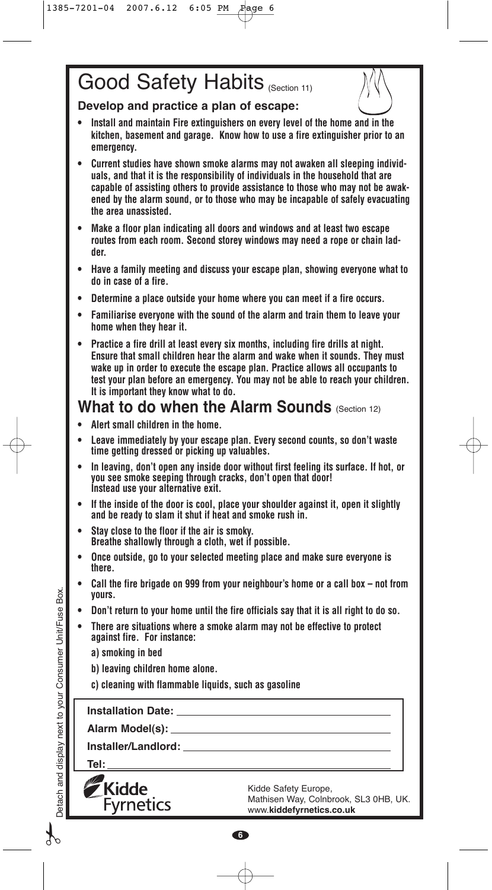| Good Safety Habits (Section 11)                                                                                                                                                                                                                                                                                                                                               |  |  |  |  |
|-------------------------------------------------------------------------------------------------------------------------------------------------------------------------------------------------------------------------------------------------------------------------------------------------------------------------------------------------------------------------------|--|--|--|--|
| Develop and practice a plan of escape:                                                                                                                                                                                                                                                                                                                                        |  |  |  |  |
| Install and maintain Fire extinguishers on every level of the home and in the<br>kitchen, basement and garage. Know how to use a fire extinguisher prior to an<br>emergency.                                                                                                                                                                                                  |  |  |  |  |
| Current studies have shown smoke alarms may not awaken all sleeping individ-<br>uals, and that it is the responsibility of individuals in the household that are<br>capable of assisting others to provide assistance to those who may not be awak-<br>ened by the alarm sound, or to those who may be incapable of safely evacuating<br>the area unassisted.                 |  |  |  |  |
| Make a floor plan indicating all doors and windows and at least two escape<br>routes from each room. Second storey windows may need a rope or chain lad-<br>der.                                                                                                                                                                                                              |  |  |  |  |
| Have a family meeting and discuss your escape plan, showing everyone what to<br>do in case of a fire.                                                                                                                                                                                                                                                                         |  |  |  |  |
| Determine a place outside your home where you can meet if a fire occurs.                                                                                                                                                                                                                                                                                                      |  |  |  |  |
| Familiarise everyone with the sound of the alarm and train them to leave your<br>$\bullet$<br>home when they hear it.                                                                                                                                                                                                                                                         |  |  |  |  |
| Practice a fire drill at least every six months, including fire drills at night.<br>Ensure that small children hear the alarm and wake when it sounds. They must<br>wake up in order to execute the escape plan. Practice allows all occupants to<br>test your plan before an emergency. You may not be able to reach your children.<br>It is important they know what to do. |  |  |  |  |
| What to do when the Alarm Sounds (Section 12)                                                                                                                                                                                                                                                                                                                                 |  |  |  |  |
| Alert small children in the home.                                                                                                                                                                                                                                                                                                                                             |  |  |  |  |
| Leave immediately by your escape plan. Every second counts, so don't waste<br>$\bullet$<br>time getting dressed or picking up valuables.                                                                                                                                                                                                                                      |  |  |  |  |
| In leaving, don't open any inside door without first feeling its surface. If hot, or<br>$\bullet$<br>you see smoke seeping through cracks, don't open that door!<br>Instead use your alternative exit.                                                                                                                                                                        |  |  |  |  |
| If the inside of the door is cool, place your shoulder against it, open it slightly<br>$\bullet$<br>and be ready to slam it shut if heat and smoke rush in.                                                                                                                                                                                                                   |  |  |  |  |
| Stay close to the floor if the air is smoky.<br>Breathe shallowly through a cloth, wet if possible.                                                                                                                                                                                                                                                                           |  |  |  |  |
| Once outside, go to your selected meeting place and make sure everyone is<br>there.                                                                                                                                                                                                                                                                                           |  |  |  |  |
| Call the fire brigade on 999 from your neighbour's home or a call box - not from<br>$\bullet$<br>vours.                                                                                                                                                                                                                                                                       |  |  |  |  |
| Don't return to your home until the fire officials say that it is all right to do so.                                                                                                                                                                                                                                                                                         |  |  |  |  |
| There are situations where a smoke alarm may not be effective to protect<br>against fire. For instance:                                                                                                                                                                                                                                                                       |  |  |  |  |
| a) smoking in bed                                                                                                                                                                                                                                                                                                                                                             |  |  |  |  |
| b) leaving children home alone.                                                                                                                                                                                                                                                                                                                                               |  |  |  |  |
| c) cleaning with flammable liquids, such as gasoline                                                                                                                                                                                                                                                                                                                          |  |  |  |  |
|                                                                                                                                                                                                                                                                                                                                                                               |  |  |  |  |
|                                                                                                                                                                                                                                                                                                                                                                               |  |  |  |  |
|                                                                                                                                                                                                                                                                                                                                                                               |  |  |  |  |

**6**

€

**Installer/Landlord:**

**Tel:**

 $\frac{1}{\sqrt{2}}$  Detach and display next to your Consumer Unit/Fuse Box.

Detach and display next to your Consumer Unit/Fuse Box.

,<br>**Kidde**<br>Fyrnetics

Kidde Safety Europe, Mathisen Way, Colnbrook, SL3 0HB, UK. www.**kiddefyrnetics.co.uk**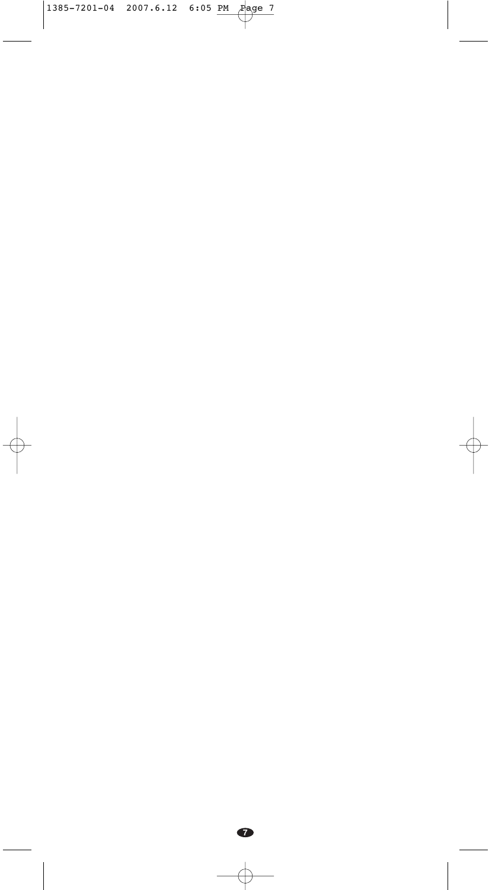$1385 - 7201 - 04$  2007.6.12 6:05 PM Page 7

 $\overline{\mathbb{A}}$ 

 $\bullet$ 

 $\phi$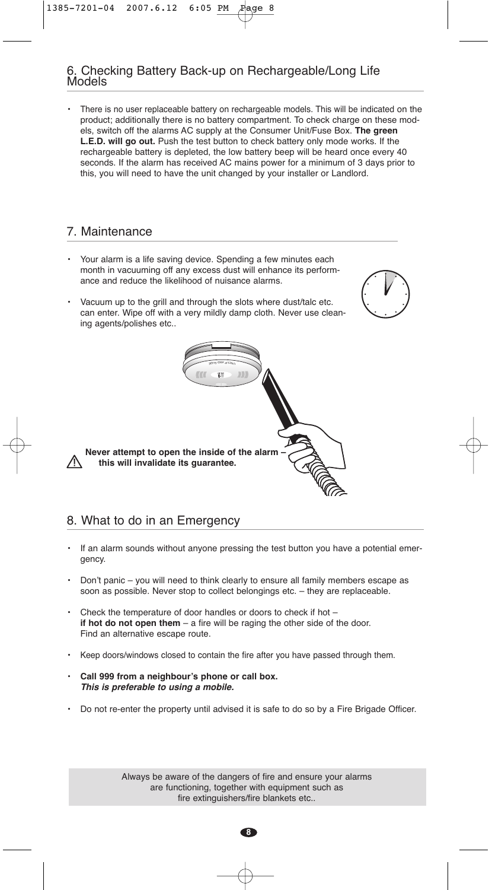### 6. Checking Battery Back-up on Rechargeable/Long Life Models

• There is no user replaceable battery on rechargeable models. This will be indicated on the product; additionally there is no battery compartment. To check charge on these models, switch off the alarms AC supply at the Consumer Unit/Fuse Box. **The green L.E.D. will go out.** Push the test button to check battery only mode works. If the rechargeable battery is depleted, the low battery beep will be heard once every 40 seconds. If the alarm has received AC mains power for a minimum of 3 days prior to this, you will need to have the unit changed by your installer or Landlord.

### 7. Maintenance

- Your alarm is a life saving device. Spending a few minutes each month in vacuuming off any excess dust will enhance its performance and reduce the likelihood of nuisance alarms.
- Vacuum up to the grill and through the slots where dust/talc etc. can enter. Wipe off with a very mildly damp cloth. Never use cleaning agents/polishes etc..





### 8. What to do in an Emergency

- If an alarm sounds without anyone pressing the test button you have a potential emergency.
- Don't panic you will need to think clearly to ensure all family members escape as soon as possible. Never stop to collect belongings etc. – they are replaceable.
- Check the temperature of door handles or doors to check if hot **if hot do not open them** – a fire will be raging the other side of the door. Find an alternative escape route.
- Keep doors/windows closed to contain the fire after you have passed through them.
- **Call 999 from a neighbour's phone or call box. This is preferable to using a mobile.**
- Do not re-enter the property until advised it is safe to do so by a Fire Brigade Officer.

Always be aware of the dangers of fire and ensure your alarms are functioning, together with equipment such as fire extinguishers/fire blankets etc..

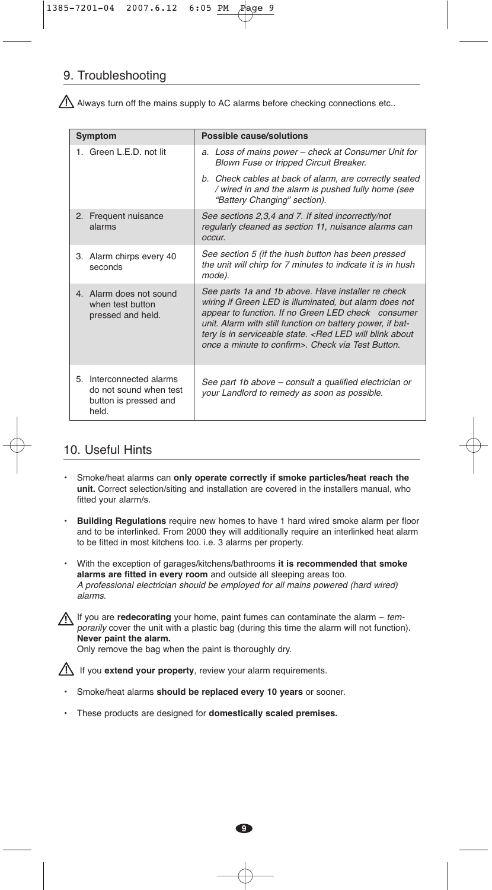## 9. Troubleshooting

 $\overline{\Lambda}$  Always turn off the mains supply to AC alarms before checking connections etc..

| Symptom                                                                                 | Possible cause/solutions                                                                                                                                                                                                                                                                                                                                             |
|-----------------------------------------------------------------------------------------|----------------------------------------------------------------------------------------------------------------------------------------------------------------------------------------------------------------------------------------------------------------------------------------------------------------------------------------------------------------------|
| 1. Green L.F.D. not lit                                                                 | a. Loss of mains power – check at Consumer Unit for<br>Blown Fuse or tripped Circuit Breaker.                                                                                                                                                                                                                                                                        |
|                                                                                         | b. Check cables at back of alarm, are correctly seated<br>/ wired in and the alarm is pushed fully home (see<br>"Battery Changing" section).                                                                                                                                                                                                                         |
| 2. Frequent nuisance<br>alarms                                                          | See sections 2,3,4 and 7. If sited incorrectly/not<br>regularly cleaned as section 11, nuisance alarms can<br>occur.                                                                                                                                                                                                                                                 |
| 3. Alarm chirps every 40<br>seconds                                                     | See section 5 (if the hush button has been pressed<br>the unit will chirp for 7 minutes to indicate it is in hush<br>mode).                                                                                                                                                                                                                                          |
| 4. Alarm does not sound<br>when test button<br>pressed and held.                        | See parts 1a and 1b above. Have installer re check<br>wiring if Green LED is illuminated, but alarm does not<br>appear to function. If no Green LED check consumer<br>unit. Alarm with still function on battery power, if bat-<br>tery is in serviceable state. <red about<br="" blink="" led="" will="">once a minute to confirm&gt;. Check via Test Button.</red> |
| Interconnected alarms<br>5.<br>do not sound when test<br>button is pressed and<br>held. | See part 1b above – consult a qualified electrician or<br>your Landlord to remedy as soon as possible.                                                                                                                                                                                                                                                               |

# 10. Useful Hints

- Smoke/heat alarms can **only operate correctly if smoke particles/heat reach the unit.** Correct selection/siting and installation are covered in the installers manual, who fitted your alarm/s.
- **Building Regulations** require new homes to have 1 hard wired smoke alarm per floor and to be interlinked. From 2000 they will additionally require an interlinked heat alarm to be fitted in most kitchens too. i.e. 3 alarms per property.
- With the exception of garages/kitchens/bathrooms **it is recommended that smoke alarms are fitted in every room** and outside all sleeping areas too. A professional electrician should be employed for all mains powered (hard wired) alarms.

• If you are **redecorating** your home, paint fumes can contaminate the alarm – temporarily cover the unit with a plastic bag (during this time the alarm will not function). **Never paint the alarm.** 

**9**

Only remove the bag when the paint is thoroughly dry.

If you extend your property, review your alarm requirements.

- Smoke/heat alarms **should be replaced every 10 years** or sooner.
- These products are designed for **domestically scaled premises.**